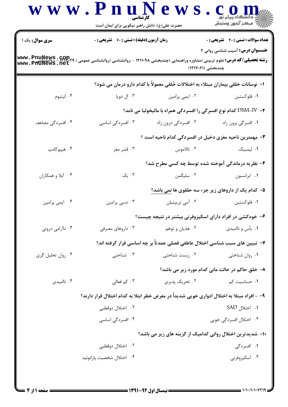|                                    | حضرت علی(ع): دانش راهبر نیکویی برای ایمان است                                                                                                                           |                                                                                      |                                                 |  |
|------------------------------------|-------------------------------------------------------------------------------------------------------------------------------------------------------------------------|--------------------------------------------------------------------------------------|-------------------------------------------------|--|
| سری سوال: یک ۱                     | <b>زمان آزمون (دقیقه) : تستی : 60 ٪ تشریحی : 0</b>                                                                                                                      |                                                                                      | <b>تعداد سوالات : تستي : 40 قشريحي : 0</b>      |  |
| www.PnuNews.com<br>www.PhuNews.net | <b>عنـــوان درس:</b> آسیب شناسی روانی ۲<br><b>رشته تحصیلی/کد درس:</b> علوم تربیتی (مشاوره وراهنمایی )چندبخشی ۱۲۱۱۰۹۸ - ،روانشناسی (روانشناسی عمومی<br>چندبخشی )۱۲۱۷۰۶۱) |                                                                                      |                                                 |  |
|                                    |                                                                                                                                                                         | ا–  نوسانات خلقی بیماران مبتلاء به اختلالات خُلقی معمولاً با کدام دارو درمان می شود؟ |                                                 |  |
| ۰۴ ليتيوم                          | ۰۳ إل دوپا                                                                                                                                                              | ۰۲ ایمی پرامین                                                                       | ۰۱ فلوکستين                                     |  |
|                                    |                                                                                                                                                                         | ۲- DSM-IV کدام نوع افسرگی را افسردگی همراه با مالیخولیا می نامد؟                     |                                                 |  |
| ۰۴ افسردگی مضاعف                   | ۰۳ افسردگی اساسی                                                                                                                                                        | ۰۲ افسردگی درون زاد                                                                  | ۰۱ افسرگی برون زاد                              |  |
|                                    |                                                                                                                                                                         | ۳- مهمترین ناحیه مغزی دخیل در افسردگی کدام ناحیه است ؟                               |                                                 |  |
| ۰۴ هيپوکامپ                        | ۰۳ قشر مغز                                                                                                                                                              | ۰۲ تالاموس                                                                           | ۰۱ لیمبیک                                       |  |
|                                    |                                                                                                                                                                         | ۴- نظریه درماندگی آموخته شده توسط چه کسی مطرح شد؟                                    |                                                 |  |
| ۰۴ آبلا و همکاران                  | ۰۳ بک                                                                                                                                                                   | ۰۲ سلیگمن                                                                            | ٠١. ابرامسون                                    |  |
|                                    |                                                                                                                                                                         | ۵– کدام یک از داروهای زیر جزء سه حلقوی ها نمی باشد؟                                  |                                                 |  |
| ۰۴ ایمی پرامین                     | ۰۳ دسی پرامین                                                                                                                                                           | ۰۲ آمی تریپتیلن                                                                      | ۰۱ فلوکستين                                     |  |
|                                    |                                                                                                                                                                         | ۶– خودکشی در افراد دارای اسکیزوفرنی بیشتر در نتیجه چیست؟                             |                                                 |  |
| ۰۴ ناآرامی درونی                   | ۰۳ داروهای مصرفی                                                                                                                                                        | ۰۲ هذیان و توهم                                                                      | ۰۱ یأس و ناامیدی                                |  |
|                                    |                                                                                                                                                                         | ٧– تبیین های سبب شناسی اختلال عاطفی فصلی عمدتاً بر چه اساسی قرار گرفته اند؟          |                                                 |  |
| ۰۴ روان تحليل گري                  | ۰۳ شناختی                                                                                                                                                               | ۰۲ زیست شناختی                                                                       | ۰۱ روان شناختی                                  |  |
|                                    |                                                                                                                                                                         |                                                                                      | ۸- خلق حاکم در حالت مانی کدام مورد زیر می باشد؟ |  |
| ۰۴ ناامیدی                         | ۰۳ کم فعالی                                                                                                                                                             | ۲. تحریک پذیری                                                                       | ۰۱ حساسیت کم                                    |  |
|                                    | ۹– - افراد مبتلا به اختلال ادواری خویی شدیداً در معرض خطر ابتلا به کدام اختلال قرار دارند؟                                                                              |                                                                                      |                                                 |  |
|                                    | ۰۲ اختلال دوقطبی                                                                                                                                                        |                                                                                      | ۰۱ اختلال SAD                                   |  |
|                                    | ۰۴ افسردگی اساسی                                                                                                                                                        |                                                                                      | ۰۳ اختلال افسردگی خویی                          |  |
|                                    |                                                                                                                                                                         | ۱۰– شدیدترین اختلال روانی کدامیک از گزینه های زیر می باشد؟                           |                                                 |  |
|                                    | ٢. اختلال دوقطبي                                                                                                                                                        |                                                                                      | ۰۱ افسردگی                                      |  |
|                                    | ۰۴ اختلال شخصيت پارانوئيد                                                                                                                                               |                                                                                      | ۰۳ اسکیزوفرنی                                   |  |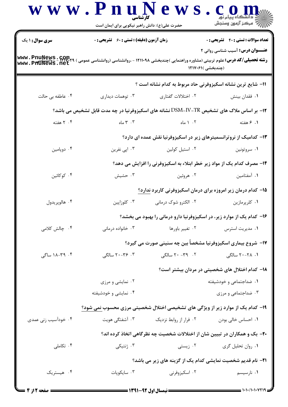|                                     |                                                    |                        | <b>تعداد سوالات : تستي : 40 - تشريحي : 0</b>                                                                                   |
|-------------------------------------|----------------------------------------------------|------------------------|--------------------------------------------------------------------------------------------------------------------------------|
| <b>سری سوال : ۱ یک</b>              | <b>زمان آزمون (دقیقه) : تستی : 60 ٪ تشریحی : 0</b> |                        | <b>عنـــوان درس:</b> آسیب شناسی روانی ۲                                                                                        |
| www.PnuNews.com.<br>www.PhuNews.net |                                                    |                        | <b>رشته تحصیلی/کد درس:</b> علوم تربیتی (مشاوره وراهنمایی )چندبخشی ۱۲۱۱۰۹۸ - ،روانشناسی (روانشناسی عمومی )<br>(چندبخشی )۶۱۷۰۶۱( |
|                                     |                                                    |                        | 11- شایع ترین نشانه اسکیزوفرنی حاد مربوط به کدام نشانه است ؟                                                                   |
| ۰۴ عاطفه بی حالت                    | ۰۳ توهمات ديداري                                   | ۰۲ اختلالات گفتاری     | ٠١ فقدان بينش                                                                                                                  |
|                                     |                                                    |                        | ۱۲- بر اساس ملاک های تشخیص TR-IV-TR نشانه های اسکیزوفرنیا در چه مدت قابل تشخیص می باشد؟                                        |
| ۰۴ هفته                             | ۰۳ ماه                                             | ۰۲ ۱ ماه               | ۰۱ ۶ هفته                                                                                                                      |
|                                     |                                                    |                        | ۱۳- کدامیک از نروترانسمیترهای زیر در اسکیزوفرنیا نقش عمده ای دارد؟                                                             |
| ۰۴ دوپامين                          | ۰۳ اپی نفرین                                       | ۰۲ استیل کولین         | ۰۱ سروتونين                                                                                                                    |
|                                     |                                                    |                        | ۱۴- مصرف کدام یک از مواد زیر خطر ابتلاء به اسکیزوفرنی را افزایش می دهد؟                                                        |
| ۰۴ کوکائین                          | ۰۳ حشیش                                            | ۰۲ هروئين              | ٠١. آمفتامين                                                                                                                   |
|                                     |                                                    |                        | ۱۵– کدام درمان زیر امروزه برای درمان اسکیزوفرنی کاربرد ندارد؟                                                                  |
| ۰۴ هالوپريدول                       | ۰۳ کلوزاپین                                        | ۰۲ الکترو شوک درمانی   | ۰۱ کلرپرمازين                                                                                                                  |
|                                     |                                                    |                        | ۱۶– کدام یک از موارد زیر، در اسکیزوفرنیا دارو درمانی را بهبود می بخشد؟                                                         |
| ۰۴ چالش کلامی                       | ۰۳ خانواده درمانی                                  | ۰۲ تغییر باورها        | ۰۱ مدیریت استرس                                                                                                                |
|                                     |                                                    |                        | ۱۷- شروع بیماری اسکیزوفرنیا مشخصاً بین چه سنینی صورت می گیرد؟                                                                  |
| ۰۴ - ۱۸-۲۹ ساگی                     | ۰۳ - ۲۰–۲۰ سالگی                                   | ۲۰ - ۳۹– ۲۰ سالگی      | ۰۱ ۲۸–۲۰ سالگی                                                                                                                 |
|                                     |                                                    |                        | <b>۱۸</b> – کدام اختلال های شخصیتی در مردان بیشتر است؟                                                                         |
|                                     | ۰۲ نمایشی و مرزی                                   |                        | ۰۱ ضداجتماعی و خودشیفته                                                                                                        |
|                                     | ۰۴ نمایشی و خودشیفته                               |                        | ۰۳ ضداجتماعی و مرزی                                                                                                            |
|                                     |                                                    |                        | ۱۹- کدام یک از موارد زیر از ویژگی های تشخیصی اختلال شخصیتی مرزی محسوب نمی شود؟                                                 |
| ۰۴ خودآسیب زنی عمدی                 | ۰۳ آشفتگی هویت                                     | ۰۲ فرار از روابط نزدیک | ٠١. احساس خالي بودن                                                                                                            |
|                                     |                                                    |                        | ۲۰- بک و همکاران در تبیین شان از اختلالات شخصیت چه نظرگاهی اتخاذ کرده اند؟                                                     |
| ۰۴ تکاملی                           | ۰۳ ژنتیکی                                          | ۰۲ زیستی               | ۰۱ روان تحلیل گری                                                                                                              |
| ۰۴ هیستریک                          | ۰۳ سایکوپات                                        |                        | <b>۲۱</b> - نام قدیم شخصیت نمایشی کدام یک از گزینه های زیر می باشد؟                                                            |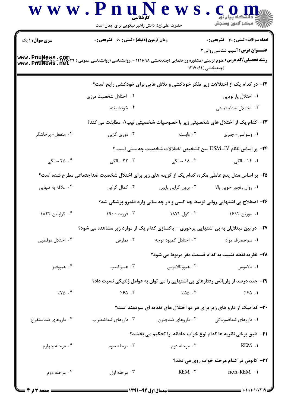| <b>سری سوال :</b> ۱ یک              | زمان آزمون (دقیقه) : تستی : 60 ٪ تشریحی : 0                                                             |                      | <b>تعداد سوالات : تستی : 40 - تشریحی : 0</b>                                       |
|-------------------------------------|---------------------------------------------------------------------------------------------------------|----------------------|------------------------------------------------------------------------------------|
|                                     |                                                                                                         |                      | <b>عنـــوان درس:</b> آسیب شناسی روانی ۲                                            |
| www.PnuNews.com.<br>www.PhuNews.net | <b>رشته تحصیلی/کد درس:</b> علوم تربیتی (مشاوره وراهنمایی )چندبخشی ۱۲۱۱۰۹۸ - ،روانشناسی (روانشناسی عمومی |                      | (چندبخشی )۱۲۱۷۰۶۱                                                                  |
|                                     |                                                                                                         |                      | ۲۲- در کدام یک از اختلالات زیر تفکر خودکشی و تلاش هایی برای خودکشی رایج است؟       |
|                                     | ۰۲ اختلال شخصیت مرزی                                                                                    |                      | ۰۱ اختلال پارانویایی                                                               |
|                                     | ۰۴ خودشیفته                                                                                             |                      | ۰۳ اختلال ضداجتماعی                                                                |
|                                     |                                                                                                         |                      | <b>۲۳</b> – کدام یک از اختلال های شخصیتی زیر با خصوصیات شخصیتی تیپA مطابقت می کند؟ |
| ۰۴ منفعل- پرخاشگر                   | ۰۳ دوري گزين                                                                                            | ۰۲ وابسته            | ۰۱ وسواسي- جبري                                                                    |
|                                     |                                                                                                         |                      | ۲۴− بر اساس نظام DSM-IV سن تشخیص اختلالات شخصیت چه سنی است ؟                       |
| ۲۵ ۰۴ سالگی                         | ۰۳ سالگی                                                                                                | ۱۸ ۰۲ سالگی          | ۰۱ ۱۴ سالگی                                                                        |
|                                     | ۲۵- بر اساس مدل پنج عاملی مکره، کدام یک از گزینه های زیر برای اختلال شخصیت ضداجتماعی مطرح شده است؟      |                      |                                                                                    |
| ۰۴ علاقه به تنهایی                  | ۰۳ کمال گرایی                                                                                           | ۰۲ برون گرایی پایین  | ۰۱ روان رنجور خویی بالا                                                            |
|                                     |                                                                                                         |                      | ۲۶- اصطلاح بی اشتهایی روانی توسط چه کسی و در چه سالی وارد قلمرو پزشکی شد؟          |
| ۰۴ کراپلین ۱۸۲۴                     | ۰۳ فروید ۱۹۰۰                                                                                           | ۰۲ گول ۱۸۷۴          | ۱. مورتن ۱۶۹۴                                                                      |
|                                     | <b>۲۷</b> - در بین مبتلایان به بی اشتهایی پرخوری – پاکسازی کدام یک از موارد زیر مشاهده می شود؟          |                      |                                                                                    |
| ۰۴ اختلال دوقطبی                    | ۰۳ تمارض                                                                                                | ۰۲ اختلال کمبود توجه | ۰۱ سومصرف مواد                                                                     |
|                                     |                                                                                                         |                      | ٢٨- نظريه نقطه تثبيت به كدام قسمت مغز مربوط مي شود؟                                |
| ۰۴ هيپوفيز                          | ۰۳ هيپوکامپ                                                                                             | ۰۲ هيپوتالاموس       | ٠١ تالاموس                                                                         |
|                                     |                                                                                                         |                      | ۲۹- چند درصد از واریانس رفتارهای بی اشتهایی را می توان به عوامل ژنتیکی نسبت داد؟   |
| 7.90.9                              | $7.80$ $.7$                                                                                             | 7.00.7               | 7.80.1                                                                             |
|                                     |                                                                                                         |                      | ۳۰– کدامیک از دارو های زیر برای هر دو اختلال های تغذیه ای سودمند است؟              |
| ۰۴ داروهای ضداستفراغ                | ۰۳ داروهای ضداضطراب                                                                                     | ۰۲ داروهای ضدجنون    | ۰۱ داروهای ضدافسردگی                                                               |
|                                     |                                                                                                         |                      | <b>٣١-</b> طبق برخي نظريه ها كدام نوع خواب حافظه  را تحكيم مي بخشد؟                |
| ۰۴ مرحله چهارم                      | ۰۳ مرحله سوم                                                                                            | ۰۲ مرحله دوم         | REM .                                                                              |
|                                     |                                                                                                         |                      | ۳۲- کابوس در کدام مرحله خواب روی می دهد؟                                           |
| ۰۴ مرحله دوم                        | ۰۳ مرحله اول                                                                                            | REM.7                | non-REM .                                                                          |

 $= 1.1 - 11.1 - 119$